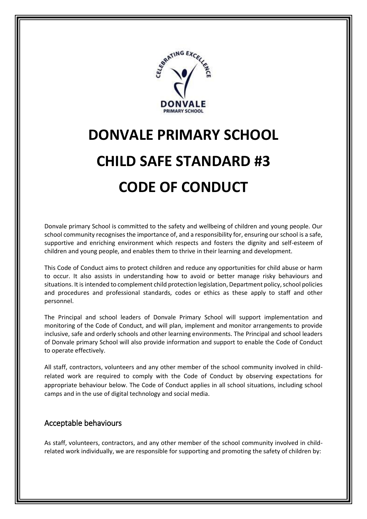

## **DONVALE PRIMARY SCHOOL CHILD SAFE STANDARD #3 CODE OF CONDUCT**

Donvale primary School is committed to the safety and wellbeing of children and young people. Our school community recognises the importance of, and a responsibility for, ensuring our school is a safe, supportive and enriching environment which respects and fosters the dignity and self-esteem of children and young people, and enables them to thrive in their learning and development.

This Code of Conduct aims to protect children and reduce any opportunities for child abuse or harm to occur. It also assists in understanding how to avoid or better manage risky behaviours and situations. It is intended to complement child protection legislation, Department policy, school policies and procedures and professional standards, codes or ethics as these apply to staff and other personnel.

The Principal and school leaders of Donvale Primary School will support implementation and monitoring of the Code of Conduct, and will plan, implement and monitor arrangements to provide inclusive, safe and orderly schools and other learning environments. The Principal and school leaders of Donvale primary School will also provide information and support to enable the Code of Conduct to operate effectively.

All staff, contractors, volunteers and any other member of the school community involved in childrelated work are required to comply with the Code of Conduct by observing expectations for appropriate behaviour below. The Code of Conduct applies in all school situations, including school camps and in the use of digital technology and social media.

## Acceptable behaviours

As staff, volunteers, contractors, and any other member of the school community involved in childrelated work individually, we are responsible for supporting and promoting the safety of children by: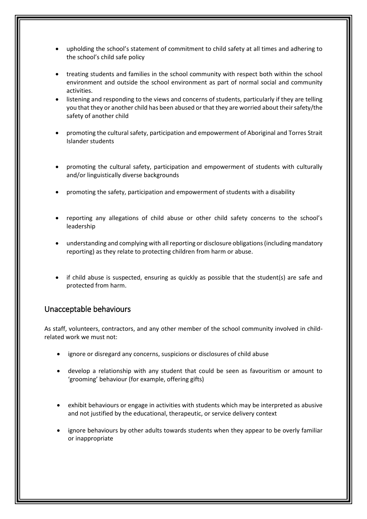- upholding the school's statement of commitment to child safety at all times and adhering to the school's child safe policy
- treating students and families in the school community with respect both within the school environment and outside the school environment as part of normal social and community activities.
- listening and responding to the views and concerns of students, particularly if they are telling you that they or another child has been abused or that they are worried about their safety/the safety of another child
- promoting the cultural safety, participation and empowerment of Aboriginal and Torres Strait Islander students
- promoting the cultural safety, participation and empowerment of students with culturally and/or linguistically diverse backgrounds
- promoting the safety, participation and empowerment of students with a disability
- reporting any allegations of child abuse or other child safety concerns to the school's leadership
- understanding and complying with all reporting or disclosure obligations (including mandatory reporting) as they relate to protecting children from harm or abuse.
- if child abuse is suspected, ensuring as quickly as possible that the student(s) are safe and protected from harm.

## Unacceptable behaviours

As staff, volunteers, contractors, and any other member of the school community involved in childrelated work we must not:

- ignore or disregard any concerns, suspicions or disclosures of child abuse
- develop a relationship with any student that could be seen as favouritism or amount to 'grooming' behaviour (for example, offering gifts)
- exhibit behaviours or engage in activities with students which may be interpreted as abusive and not justified by the educational, therapeutic, or service delivery context
- ignore behaviours by other adults towards students when they appear to be overly familiar or inappropriate